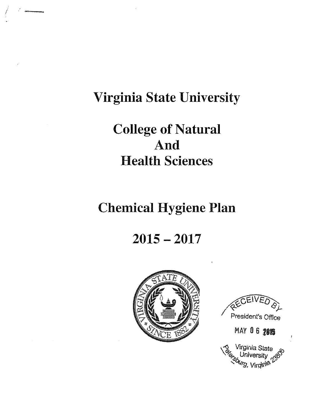# **Virginia State University**

# **College of Natural** And **Health Sciences**

# **Chemical Hygiene Plan**

## $2015 - 2017$





**MAY 06 2013** 

ţ

Virginia State University<br>*burg*, Virginia<sup>73</sup>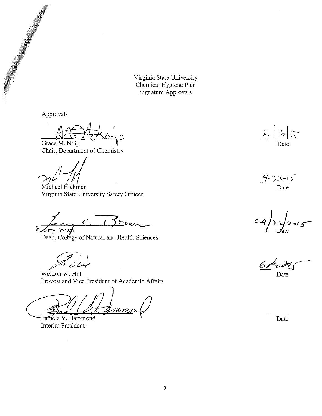Virginia State University Chemical Hygiene Plan Signature Approvals

Approvals

Grace M. Ndip

Chair, Department of Chemistry

Michael Hickman Virginia State University Safety Officer

 $c_{15}$ E Larry Brown

Dean, College of Natural and Health Sciences

Weldon W. Hill Provost and Vice President of Academic Affairs

nin Pamela V. Hammond

**Interim President** 

 $\hat{\mathcal{L}}$ 

 $\overline{\mathcal{K}}$ Date

 $4 - 22 - 15$ Date

Date

Date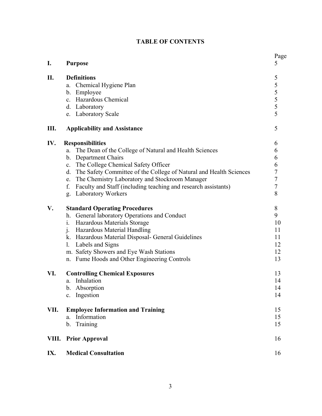## **TABLE OF CONTENTS**

| I.    | <b>Purpose</b>                                                        | Page<br>5      |
|-------|-----------------------------------------------------------------------|----------------|
| Π.    | <b>Definitions</b>                                                    | 5              |
|       | Chemical Hygiene Plan<br>a.                                           | 5              |
|       | b. Employee                                                           | 5              |
|       | c. Hazardous Chemical                                                 |                |
|       | d. Laboratory                                                         | $\frac{5}{5}$  |
|       | e. Laboratory Scale                                                   | 5              |
| Ш.    | <b>Applicability and Assistance</b>                                   | 5              |
| IV.   | <b>Responsibilities</b>                                               | 6              |
|       | The Dean of the College of Natural and Health Sciences<br>a.          | 6              |
|       | b. Department Chairs                                                  | 6              |
|       | c. The College Chemical Safety Officer                                | 6              |
|       | d. The Safety Committee of the College of Natural and Health Sciences | $\sqrt{ }$     |
|       | The Chemistry Laboratory and Stockroom Manager<br>e.                  | $\overline{7}$ |
|       | f.<br>Faculty and Staff (including teaching and research assistants)  | $\overline{7}$ |
|       | <b>Laboratory Workers</b><br>g.                                       | 8              |
| V.    | <b>Standard Operating Procedures</b>                                  | 8              |
|       | h. General laboratory Operations and Conduct                          | 9              |
|       | $\mathbf{i}$ .<br>Hazardous Materials Storage                         | 10             |
|       | <b>Hazardous Material Handling</b><br>j.                              | 11             |
|       | k. Hazardous Material Disposal- General Guidelines                    | 11             |
|       | Labels and Signs<br>1.                                                | 12             |
|       | m. Safety Showers and Eye Wash Stations                               | 12             |
|       | n. Fume Hoods and Other Engineering Controls                          | 13             |
| VI.   | <b>Controlling Chemical Exposures</b>                                 | 13             |
|       | a. Inhalation                                                         | 14             |
|       | b. Absorption                                                         | 14             |
|       | Ingestion<br>$c_{\cdot}$                                              | 14             |
| VII.  | <b>Employee Information and Training</b>                              | 15             |
|       | Information<br>a.                                                     | 15             |
|       | Training<br>b.                                                        | 15             |
| VIII. | <b>Prior Approval</b>                                                 | 16             |
| IX.   | <b>Medical Consultation</b>                                           | 16             |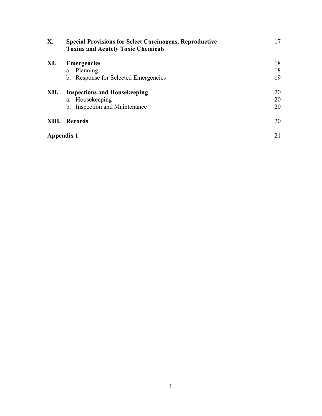| X.         | <b>Special Provisions for Select Carcinogens, Reproductive</b><br><b>Toxins and Acutely Toxic Chemicals</b> | 17 |
|------------|-------------------------------------------------------------------------------------------------------------|----|
| XI.        | <b>Emergencies</b>                                                                                          | 18 |
|            | a. Planning                                                                                                 | 18 |
|            | b. Response for Selected Emergencies                                                                        | 19 |
| XII.       | <b>Inspections and Housekeeping</b>                                                                         | 20 |
|            | a. Housekeeping                                                                                             | 20 |
|            | b. Inspection and Maintenance                                                                               | 20 |
| XIII.      | <b>Records</b>                                                                                              | 20 |
| Appendix 1 |                                                                                                             | 21 |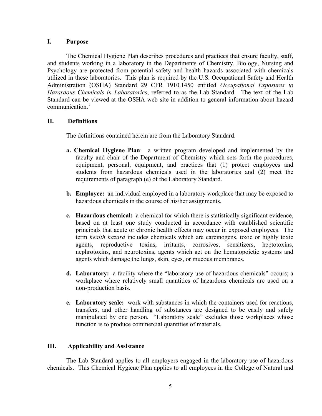#### **I. Purpose**

The Chemical Hygiene Plan describes procedures and practices that ensure faculty, staff, and students working in a laboratory in the Departments of Chemistry, Biology, Nursing and Psychology are protected from potential safety and health hazards associated with chemicals utilized in these laboratories. This plan is required by the U.S. Occupational Safety and Health Administration (OSHA) Standard 29 CFR 1910.1450 entitled *Occupational Exposures to Hazardous Chemicals in Laboratories*, referred to as the Lab Standard. The text of the Lab Standard can be viewed at the OSHA web site in addition to general information about hazard communication. $<sup>1</sup>$ </sup>

### **II. Definitions**

The definitions contained herein are from the Laboratory Standard.

- **a. Chemical Hygiene Plan**: a written program developed and implemented by the faculty and chair of the Department of Chemistry which sets forth the procedures, equipment, personal, equipment, and practices that (1) protect employees and students from hazardous chemicals used in the laboratories and (2) meet the requirements of paragraph (e) of the Laboratory Standard.
- **b. Employee:** an individual employed in a laboratory workplace that may be exposed to hazardous chemicals in the course of his/her assignments.
- **c. Hazardous chemical:** a chemical for which there is statistically significant evidence, based on at least one study conducted in accordance with established scientific principals that acute or chronic health effects may occur in exposed employees. The term *health hazard* includes chemicals which are carcinogens, toxic or highly toxic agents, reproductive toxins, irritants, corrosives, sensitizers, heptotoxins, nephrotoxins, and neurotoxins, agents which act on the hematopoietic systems and agents which damage the lungs, skin, eyes, or mucous membranes.
- **d. Laboratory:** a facility where the "laboratory use of hazardous chemicals" occurs; a workplace where relatively small quantities of hazardous chemicals are used on a non-production basis.
- **e. Laboratory scale:** work with substances in which the containers used for reactions, transfers, and other handling of substances are designed to be easily and safely manipulated by one person. "Laboratory scale" excludes those workplaces whose function is to produce commercial quantities of materials.

### **III. Applicability and Assistance**

The Lab Standard applies to all employers engaged in the laboratory use of hazardous chemicals. This Chemical Hygiene Plan applies to all employees in the College of Natural and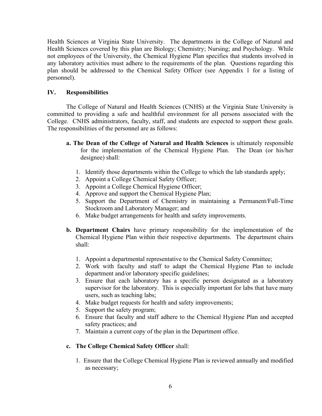Health Sciences at Virginia State University. The departments in the College of Natural and Health Sciences covered by this plan are Biology; Chemistry; Nursing; and Psychology. While not employees of the University, the Chemical Hygiene Plan specifies that students involved in any laboratory activities must adhere to the requirements of the plan. Questions regarding this plan should be addressed to the Chemical Safety Officer (see Appendix 1 for a listing of personnel).

## **IV. Responsibilities**

The College of Natural and Health Sciences (CNHS) at the Virginia State University is committed to providing a safe and healthful environment for all persons associated with the College. CNHS administrators, faculty, staff, and students are expected to support these goals. The responsibilities of the personnel are as follows:

- **a. The Dean of the College of Natural and Health Sciences** is ultimately responsible for the implementation of the Chemical Hygiene Plan. The Dean (or his/her designee) shall:
	- 1. Identify those departments within the College to which the lab standards apply;
	- 2. Appoint a College Chemical Safety Officer;
	- 3. Appoint a College Chemical Hygiene Officer;
	- 4. Approve and support the Chemical Hygiene Plan;
	- 5. Support the Department of Chemistry in maintaining a Permanent/Full-Time Stockroom and Laboratory Manager; and
	- 6. Make budget arrangements for health and safety improvements.
- **b. Department Chairs** have primary responsibility for the implementation of the Chemical Hygiene Plan within their respective departments. The department chairs shall:
	- 1. Appoint a departmental representative to the Chemical Safety Committee;
	- 2. Work with faculty and staff to adapt the Chemical Hygiene Plan to include department and/or laboratory specific guidelines;
	- 3. Ensure that each laboratory has a specific person designated as a laboratory supervisor for the laboratory. This is especially important for labs that have many users, such as teaching labs;
	- 4. Make budget requests for health and safety improvements;
	- 5. Support the safety program;
	- 6. Ensure that faculty and staff adhere to the Chemical Hygiene Plan and accepted safety practices; and
	- 7. Maintain a current copy of the plan in the Department office.

### **c. The College Chemical Safety Officer** shall:

1. Ensure that the College Chemical Hygiene Plan is reviewed annually and modified as necessary;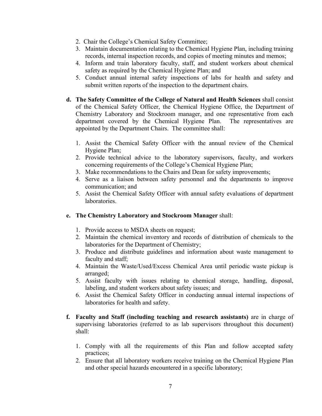- 2. Chair the College's Chemical Safety Committee;
- 3. Maintain documentation relating to the Chemical Hygiene Plan, including training records, internal inspection records, and copies of meeting minutes and memos;
- 4. Inform and train laboratory faculty, staff, and student workers about chemical safety as required by the Chemical Hygiene Plan; and
- 5. Conduct annual internal safety inspections of labs for health and safety and submit written reports of the inspection to the department chairs.
- **d. The Safety Committee of the College of Natural and Health Sciences** shall consist of the Chemical Safety Officer, the Chemical Hygiene Office, the Department of Chemistry Laboratory and Stockroom manager, and one representative from each department covered by the Chemical Hygiene Plan. The representatives are appointed by the Department Chairs. The committee shall:
	- 1. Assist the Chemical Safety Officer with the annual review of the Chemical Hygiene Plan;
	- 2. Provide technical advice to the laboratory supervisors, faculty, and workers concerning requirements of the College's Chemical Hygiene Plan;
	- 3. Make recommendations to the Chairs and Dean for safety improvements;
	- 4. Serve as a liaison between safety personnel and the departments to improve communication; and
	- 5. Assist the Chemical Safety Officer with annual safety evaluations of department laboratories.

## **e. The Chemistry Laboratory and Stockroom Manager** shall:

- 1. Provide access to MSDA sheets on request;
- 2. Maintain the chemical inventory and records of distribution of chemicals to the laboratories for the Department of Chemistry;
- 3. Produce and distribute guidelines and information about waste management to faculty and staff;
- 4. Maintain the Waste/Used/Excess Chemical Area until periodic waste pickup is arranged;
- 5. Assist faculty with issues relating to chemical storage, handling, disposal, labeling, and student workers about safety issues; and
- 6. Assist the Chemical Safety Officer in conducting annual internal inspections of laboratories for health and safety.
- **f. Faculty and Staff (including teaching and research assistants)** are in charge of supervising laboratories (referred to as lab supervisors throughout this document) shall:
	- 1. Comply with all the requirements of this Plan and follow accepted safety practices;
	- 2. Ensure that all laboratory workers receive training on the Chemical Hygiene Plan and other special hazards encountered in a specific laboratory;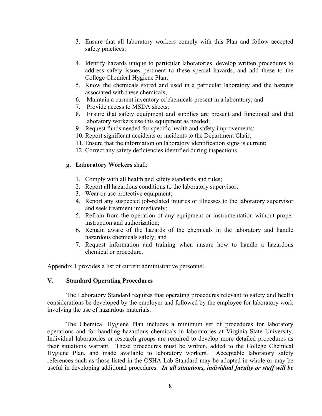- 3. Ensure that all laboratory workers comply with this Plan and follow accepted safety practices;
- 4. Identify hazards unique to particular laboratories, develop written procedures to address safety issues pertinent to these special hazards, and add these to the College Chemical Hygiene Plan;
- 5. Know the chemicals stored and used in a particular laboratory and the hazards associated with these chemicals;
- 6. Maintain a current inventory of chemicals present in a laboratory; and
- 7. Provide access to MSDA sheets;
- 8. Ensure that safety equipment and supplies are present and functional and that laboratory workers use this equipment as needed;
- 9. Request funds needed for specific health and safety improvements;
- 10. Report significant accidents or incidents to the Department Chair;
- 11. Ensure that the information on laboratory identification signs is current;
- 12. Correct any safety deficiencies identified during inspections.

### **g. Laboratory Workers** shall:

- 1. Comply with all health and safety standards and rules;
- 2. Report all hazardous conditions to the laboratory supervisor;
- 3. Wear or use protective equipment;
- 4. Report any suspected job-related injuries or illnesses to the laboratory supervisor and seek treatment immediately;
- 5. Refrain from the operation of any equipment or instrumentation without proper instruction and authorization;
- 6. Remain aware of the hazards of the chemicals in the laboratory and handle hazardous chemicals safely; and
- 7. Request information and training when unsure how to handle a hazardous chemical or procedure.

Appendix 1 provides a list of current administrative personnel.

### **V. Standard Operating Procedures**

The Laboratory Standard requires that operating procedures relevant to safety and health considerations be developed by the employer and followed by the employee for laboratory work involving the use of hazardous materials.

The Chemical Hygiene Plan includes a minimum set of procedures for laboratory operations and for handling hazardous chemicals in laboratories at Virginia State University. Individual laboratories or research groups are required to develop more detailed procedures as their situations warrant. These procedures must be written, added to the College Chemical Hygiene Plan, and made available to laboratory workers. Acceptable laboratory safety references such as those listed in the OSHA Lab Standard may be adopted in whole or may be useful in developing additional procedures. *In all situations, individual faculty or staff will be*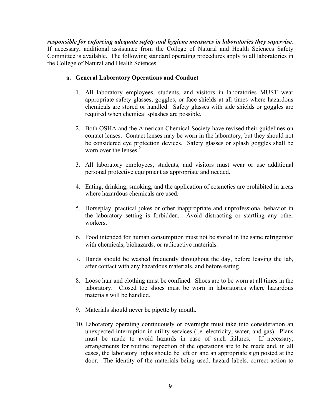*responsible for enforcing adequate safety and hygiene measures in laboratories they supervise.* If necessary, additional assistance from the College of Natural and Health Sciences Safety Committee is available. The following standard operating procedures apply to all laboratories in the College of Natural and Health Sciences.

## **a. General Laboratory Operations and Conduct**

- 1. All laboratory employees, students, and visitors in laboratories MUST wear appropriate safety glasses, goggles, or face shields at all times where hazardous chemicals are stored or handled. Safety glasses with side shields or goggles are required when chemical splashes are possible.
- 2. Both OSHA and the American Chemical Society have revised their guidelines on contact lenses. Contact lenses may be worn in the laboratory, but they should not be considered eye protection devices. Safety glasses or splash goggles shall be worn over the lenses.<sup>2</sup>
- 3. All laboratory employees, students, and visitors must wear or use additional personal protective equipment as appropriate and needed.
- 4. Eating, drinking, smoking, and the application of cosmetics are prohibited in areas where hazardous chemicals are used.
- 5. Horseplay, practical jokes or other inappropriate and unprofessional behavior in the laboratory setting is forbidden. Avoid distracting or startling any other workers.
- 6. Food intended for human consumption must not be stored in the same refrigerator with chemicals, biohazards, or radioactive materials.
- 7. Hands should be washed frequently throughout the day, before leaving the lab, after contact with any hazardous materials, and before eating.
- 8. Loose hair and clothing must be confined. Shoes are to be worn at all times in the laboratory. Closed toe shoes must be worn in laboratories where hazardous materials will be handled.
- 9. Materials should never be pipette by mouth.
- 10. Laboratory operating continuously or overnight must take into consideration an unexpected interruption in utility services (i.e. electricity, water, and gas). Plans must be made to avoid hazards in case of such failures. If necessary, arrangements for routine inspection of the operations are to be made and, in all cases, the laboratory lights should be left on and an appropriate sign posted at the door. The identity of the materials being used, hazard labels, correct action to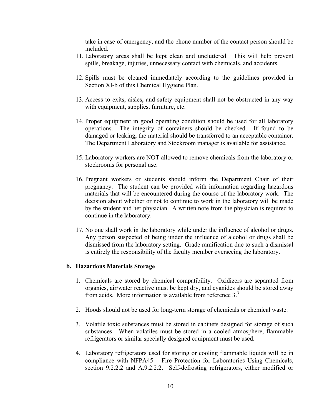take in case of emergency, and the phone number of the contact person should be included.

- 11. Laboratory areas shall be kept clean and uncluttered. This will help prevent spills, breakage, injuries, unnecessary contact with chemicals, and accidents.
- 12. Spills must be cleaned immediately according to the guidelines provided in Section XI-b of this Chemical Hygiene Plan.
- 13. Access to exits, aisles, and safety equipment shall not be obstructed in any way with equipment, supplies, furniture, etc.
- 14. Proper equipment in good operating condition should be used for all laboratory operations. The integrity of containers should be checked. If found to be damaged or leaking, the material should be transferred to an acceptable container. The Department Laboratory and Stockroom manager is available for assistance.
- 15. Laboratory workers are NOT allowed to remove chemicals from the laboratory or stockrooms for personal use.
- 16. Pregnant workers or students should inform the Department Chair of their pregnancy. The student can be provided with information regarding hazardous materials that will be encountered during the course of the laboratory work. The decision about whether or not to continue to work in the laboratory will be made by the student and her physician. A written note from the physician is required to continue in the laboratory.
- 17. No one shall work in the laboratory while under the influence of alcohol or drugs. Any person suspected of being under the influence of alcohol or drugs shall be dismissed from the laboratory setting. Grade ramification due to such a dismissal is entirely the responsibility of the faculty member overseeing the laboratory.

#### **b. Hazardous Materials Storage**

- 1. Chemicals are stored by chemical compatibility. Oxidizers are separated from organics, air/water reactive must be kept dry, and cyanides should be stored away from acids. More information is available from reference 3.<sup>3</sup>
- 2. Hoods should not be used for long-term storage of chemicals or chemical waste.
- 3. Volatile toxic substances must be stored in cabinets designed for storage of such substances. When volatiles must be stored in a cooled atmosphere, flammable refrigerators or similar specially designed equipment must be used.
- 4. Laboratory refrigerators used for storing or cooling flammable liquids will be in compliance with NFPA45 – Fire Protection for Laboratories Using Chemicals, section 9.2.2.2 and A.9.2.2.2. Self-defrosting refrigerators, either modified or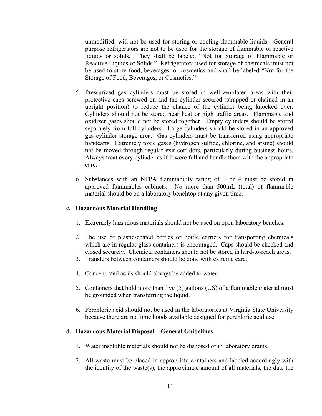unmodified, will not be used for storing or cooling flammable liquids. General purpose refrigerators are not to be used for the storage of flammable or reactive liquids or solids. They shall be labeled "Not for Storage of Flammable or Reactive Liquids or Solids." Refrigerators used for storage of chemicals must not be used to store food, beverages, or cosmetics and shall be labeled "Not for the Storage of Food, Beverages, or Cosmetics."

- 5. Pressurized gas cylinders must be stored in well-ventilated areas with their protective caps screwed on and the cylinder secured (strapped or chained in an upright position) to reduce the chance of the cylinder being knocked over. Cylinders should not be stored near heat or high traffic areas. Flammable and oxidizer gases should not be stored together. Empty cylinders should be stored separately from full cylinders. Large cylinders should be stored in an approved gas cylinder storage area. Gas cylinders must be transferred using appropriate handcarts. Extremely toxic gases (hydrogen sulfide, chlorine, and arsine) should not be moved through regular exit corridors, particularly during business hours. Always treat every cylinder as if it were full and handle them with the appropriate care.
- 6. Substances with an NFPA flammability rating of 3 or 4 must be stored in approved flammables cabinets. No more than 500mL (total) of flammable material should be on a laboratory benchtop at any given time.

#### **c. Hazardous Material Handling**

- 1. Extremely hazardous materials should not be used on open laboratory benches.
- 2. The use of plastic-coated bottles or bottle carriers for transporting chemicals which are in regular glass containers is encouraged. Caps should be checked and closed securely. Chemical containers should not be stored in hard-to-reach areas.
- 3. Transfers between containers should be done with extreme care.
- 4. Concentrated acids should always be added to water.
- 5. Containers that hold more than five (5) gallons (US) of a flammable material must be grounded when transferring the liquid.
- 6. Perchloric acid should not be used in the laboratories at Virginia State University because there are no fume hoods available designed for perchloric acid use.

#### **d. Hazardous Material Disposal – General Guidelines**

- 1. Water insoluble materials should not be disposed of in laboratory drains.
- 2. All waste must be placed in appropriate containers and labeled accordingly with the identity of the waste(s), the approximate amount of all materials, the date the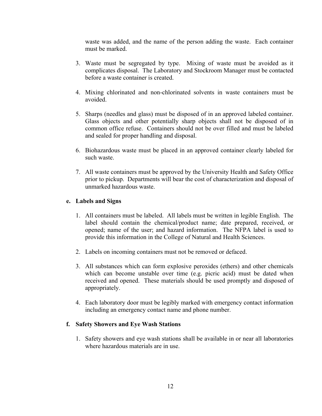waste was added, and the name of the person adding the waste. Each container must be marked.

- 3. Waste must be segregated by type. Mixing of waste must be avoided as it complicates disposal. The Laboratory and Stockroom Manager must be contacted before a waste container is created.
- 4. Mixing chlorinated and non-chlorinated solvents in waste containers must be avoided.
- 5. Sharps (needles and glass) must be disposed of in an approved labeled container. Glass objects and other potentially sharp objects shall not be disposed of in common office refuse. Containers should not be over filled and must be labeled and sealed for proper handling and disposal.
- 6. Biohazardous waste must be placed in an approved container clearly labeled for such waste.
- 7. All waste containers must be approved by the University Health and Safety Office prior to pickup. Departments will bear the cost of characterization and disposal of unmarked hazardous waste.

### **e. Labels and Signs**

- 1. All containers must be labeled. All labels must be written in legible English. The label should contain the chemical/product name; date prepared, received, or opened; name of the user; and hazard information. The NFPA label is used to provide this information in the College of Natural and Health Sciences.
- 2. Labels on incoming containers must not be removed or defaced.
- 3. All substances which can form explosive peroxides (ethers) and other chemicals which can become unstable over time (e.g. picric acid) must be dated when received and opened. These materials should be used promptly and disposed of appropriately.
- 4. Each laboratory door must be legibly marked with emergency contact information including an emergency contact name and phone number.

### **f. Safety Showers and Eye Wash Stations**

1. Safety showers and eye wash stations shall be available in or near all laboratories where hazardous materials are in use.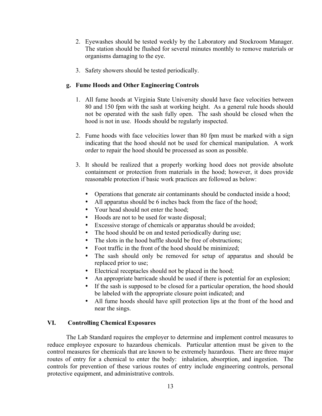- 2. Eyewashes should be tested weekly by the Laboratory and Stockroom Manager. The station should be flushed for several minutes monthly to remove materials or organisms damaging to the eye.
- 3. Safety showers should be tested periodically.

## **g. Fume Hoods and Other Engineering Controls**

- 1. All fume hoods at Virginia State University should have face velocities between 80 and 150 fpm with the sash at working height. As a general rule hoods should not be operated with the sash fully open. The sash should be closed when the hood is not in use. Hoods should be regularly inspected.
- 2. Fume hoods with face velocities lower than 80 fpm must be marked with a sign indicating that the hood should not be used for chemical manipulation. A work order to repair the hood should be processed as soon as possible.
- 3. It should be realized that a properly working hood does not provide absolute containment or protection from materials in the hood; however, it does provide reasonable protection if basic work practices are followed as below:
	- Operations that generate air contaminants should be conducted inside a hood;
	- All apparatus should be 6 inches back from the face of the hood;
	- Your head should not enter the hood;
	- Hoods are not to be used for waste disposal;
	- Excessive storage of chemicals or apparatus should be avoided;
	- The hood should be on and tested periodically during use;
	- The slots in the hood baffle should be free of obstructions;
	- Foot traffic in the front of the hood should be minimized;
	- The sash should only be removed for setup of apparatus and should be replaced prior to use;
	- Electrical receptacles should not be placed in the hood;
	- An appropriate barricade should be used if there is potential for an explosion;
	- If the sash is supposed to be closed for a particular operation, the hood should be labeled with the appropriate closure point indicated; and
	- All fume hoods should have spill protection lips at the front of the hood and near the sings.

### **VI. Controlling Chemical Exposures**

The Lab Standard requires the employer to determine and implement control measures to reduce employee exposure to hazardous chemicals. Particular attention must be given to the control measures for chemicals that are known to be extremely hazardous. There are three major routes of entry for a chemical to enter the body: inhalation, absorption, and ingestion. The controls for prevention of these various routes of entry include engineering controls, personal protective equipment, and administrative controls.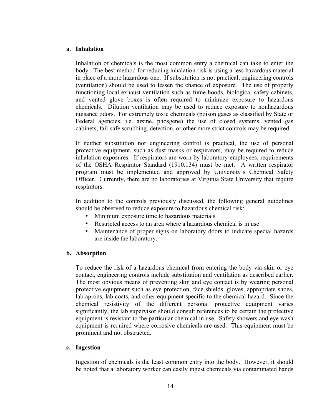#### **a. Inhalation**

Inhalation of chemicals is the most common entry a chemical can take to enter the body. The best method for reducing inhalation risk is using a less hazardous material in place of a more hazardous one. If substitution is not practical, engineering controls (ventilation) should be used to lessen the chance of exposure. The use of properly functioning local exhaust ventilation such as fume hoods, biological safety cabinets, and vented glove boxes is often required to minimize exposure to hazardous chemicals. Dilution ventilation may be used to reduce exposure to nonhazardous nuisance odors. For extremely toxic chemicals (poison gases as classified by State or Federal agencies, i.e. arsine, phosgene) the use of closed systems, vented gas cabinets, fail-safe scrubbing, detection, or other more strict controls may be required.

If neither substitution nor engineering control is practical, the use of personal protective equipment, such as dust masks or respirators, may be required to reduce inhalation exposures. If respirators are worn by laboratory employees, requirements of the OSHA Respirator Standard (1910.134) must be met. A written respirator program must be implemented and approved by University's Chemical Safety Officer. Currently, there are no laboratories at Virginia State University that require respirators.

In addition to the controls previously discussed, the following general guidelines should be observed to reduce exposure to hazardous chemical risk:

- Minimum exposure time to hazardous materials
- Restricted access to an area where a hazardous chemical is in use
- Maintenance of proper signs on laboratory doors to indicate special hazards are inside the laboratory.

### **b. Absorption**

To reduce the risk of a hazardous chemical from entering the body via skin or eye contact, engineering controls include substitution and ventilation as described earlier. The most obvious means of preventing skin and eye contact is by wearing personal protective equipment such as eye protection, face shields, gloves, appropriate shoes, lab aprons, lab coats, and other equipment specific to the chemical hazard. Since the chemical resistivity of the different personal protective equipment varies significantly, the lab supervisor should consult references to be certain the protective equipment is resistant to the particular chemical in use. Safety showers and eye wash equipment is required where corrosive chemicals are used. This equipment must be prominent and not obstructed.

### **c. Ingestion**

Ingestion of chemicals is the least common entry into the body. However, it should be noted that a laboratory worker can easily ingest chemicals via contaminated hands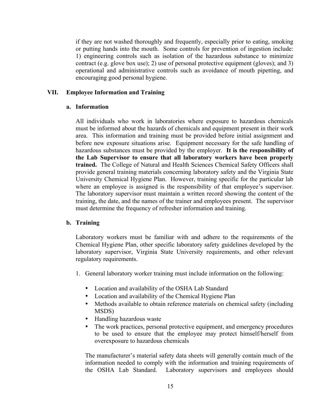if they are not washed thoroughly and frequently, especially prior to eating, smoking or putting hands into the mouth. Some controls for prevention of ingestion include: 1) engineering controls such as isolation of the hazardous substance to minimize contract (e.g. glove box use); 2) use of personal protective equipment (gloves); and 3) operational and administrative controls such as avoidance of mouth pipetting, and encouraging good personal hygiene.

#### **VII. Employee Information and Training**

#### **a. Information**

All individuals who work in laboratories where exposure to hazardous chemicals must be informed about the hazards of chemicals and equipment present in their work area. This information and training must be provided before initial assignment and before new exposure situations arise. Equipment necessary for the safe handling of hazardous substances must be provided by the employer. **It is the responsibility of the Lab Supervisor to ensure that all laboratory workers have been properly trained.** The College of Natural and Health Sciences Chemical Safety Officers shall provide general training materials concerning laboratory safety and the Virginia State University Chemical Hygiene Plan. However, training specific for the particular lab where an employee is assigned is the responsibility of that employee's supervisor. The laboratory supervisor must maintain a written record showing the content of the training, the date, and the names of the trainer and employees present. The supervisor must determine the frequency of refresher information and training.

#### **b. Training**

Laboratory workers must be familiar with and adhere to the requirements of the Chemical Hygiene Plan, other specific laboratory safety guidelines developed by the laboratory supervisor, Virginia State University requirements, and other relevant regulatory requirements.

- 1. General laboratory worker training must include information on the following:
	- Location and availability of the OSHA Lab Standard
	- Location and availability of the Chemical Hygiene Plan
	- Methods available to obtain reference materials on chemical safety (including MSDS)
	- Handling hazardous waste
	- The work practices, personal protective equipment, and emergency procedures to be used to ensure that the employee may protect himself/herself from overexposure to hazardous chemicals

The manufacturer's material safety data sheets will generally contain much of the information needed to comply with the information and training requirements of the OSHA Lab Standard. Laboratory supervisors and employees should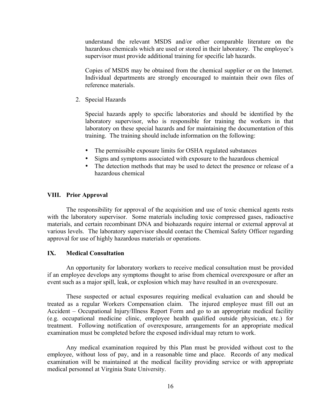understand the relevant MSDS and/or other comparable literature on the hazardous chemicals which are used or stored in their laboratory. The employee's supervisor must provide additional training for specific lab hazards.

Copies of MSDS may be obtained from the chemical supplier or on the Internet. Individual departments are strongly encouraged to maintain their own files of reference materials.

2. Special Hazards

Special hazards apply to specific laboratories and should be identified by the laboratory supervisor, who is responsible for training the workers in that laboratory on these special hazards and for maintaining the documentation of this training. The training should include information on the following:

- The permissible exposure limits for OSHA regulated substances
- Signs and symptoms associated with exposure to the hazardous chemical
- The detection methods that may be used to detect the presence or release of a hazardous chemical

#### **VIII. Prior Approval**

The responsibility for approval of the acquisition and use of toxic chemical agents rests with the laboratory supervisor. Some materials including toxic compressed gases, radioactive materials, and certain recombinant DNA and biohazards require internal or external approval at various levels. The laboratory supervisor should contact the Chemical Safety Officer regarding approval for use of highly hazardous materials or operations.

#### **IX. Medical Consultation**

An opportunity for laboratory workers to receive medical consultation must be provided if an employee develops any symptoms thought to arise from chemical overexposure or after an event such as a major spill, leak, or explosion which may have resulted in an overexposure.

These suspected or actual exposures requiring medical evaluation can and should be treated as a regular Workers Compensation claim. The injured employee must fill out an Accident – Occupational Injury/Illness Report Form and go to an appropriate medical facility (e.g. occupational medicine clinic, employee health qualified outside physician, etc.) for treatment. Following notification of overexposure, arrangements for an appropriate medical examination must be completed before the exposed individual may return to work.

Any medical examination required by this Plan must be provided without cost to the employee, without loss of pay, and in a reasonable time and place. Records of any medical examination will be maintained at the medical facility providing service or with appropriate medical personnel at Virginia State University.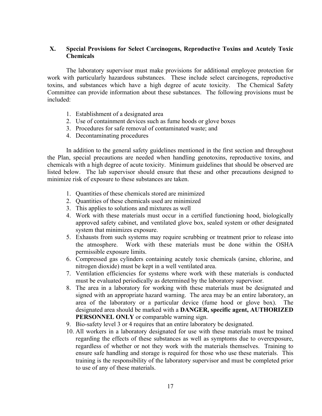### **X. Special Provisions for Select Carcinogens, Reproductive Toxins and Acutely Toxic Chemicals**

The laboratory supervisor must make provisions for additional employee protection for work with particularly hazardous substances. These include select carcinogens, reproductive toxins, and substances which have a high degree of acute toxicity. The Chemical Safety Committee can provide information about these substances. The following provisions must be included:

- 1. Establishment of a designated area
- 2. Use of containment devices such as fume hoods or glove boxes
- 3. Procedures for safe removal of contaminated waste; and
- 4. Decontaminating procedures

In addition to the general safety guidelines mentioned in the first section and throughout the Plan, special precautions are needed when handling genotoxins, reproductive toxins, and chemicals with a high degree of acute toxicity. Minimum guidelines that should be observed are listed below. The lab supervisor should ensure that these and other precautions designed to minimize risk of exposure to these substances are taken.

- 1. Quantities of these chemicals stored are minimized
- 2. Quantities of these chemicals used are minimized
- 3. This applies to solutions and mixtures as well
- 4. Work with these materials must occur in a certified functioning hood, biologically approved safety cabinet, and ventilated glove box, sealed system or other designated system that minimizes exposure.
- 5. Exhausts from such systems may require scrubbing or treatment prior to release into the atmosphere. Work with these materials must be done within the OSHA permissible exposure limits.
- 6. Compressed gas cylinders containing acutely toxic chemicals (arsine, chlorine, and nitrogen dioxide) must be kept in a well ventilated area.
- 7. Ventilation efficiencies for systems where work with these materials is conducted must be evaluated periodically as determined by the laboratory supervisor.
- 8. The area in a laboratory for working with these materials must be designated and signed with an appropriate hazard warning. The area may be an entire laboratory, an area of the laboratory or a particular device (fume hood or glove box). The designated area should be marked with a **DANGER, specific agent, AUTHORIZED PERSONNEL ONLY** or comparable warning sign.
- 9. Bio-safety level 3 or 4 requires that an entire laboratory be designated.
- 10. All workers in a laboratory designated for use with these materials must be trained regarding the effects of these substances as well as symptoms due to overexposure, regardless of whether or not they work with the materials themselves. Training to ensure safe handling and storage is required for those who use these materials. This training is the responsibility of the laboratory supervisor and must be completed prior to use of any of these materials.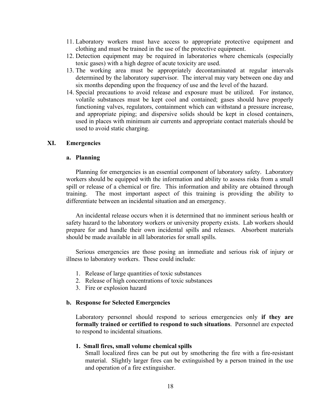- 11. Laboratory workers must have access to appropriate protective equipment and clothing and must be trained in the use of the protective equipment.
- 12. Detection equipment may be required in laboratories where chemicals (especially toxic gases) with a high degree of acute toxicity are used.
- 13. The working area must be appropriately decontaminated at regular intervals determined by the laboratory supervisor. The interval may vary between one day and six months depending upon the frequency of use and the level of the hazard.
- 14. Special precautions to avoid release and exposure must be utilized. For instance, volatile substances must be kept cool and contained; gases should have properly functioning valves, regulators, containment which can withstand a pressure increase, and appropriate piping; and dispersive solids should be kept in closed containers, used in places with minimum air currents and appropriate contact materials should be used to avoid static charging.

#### **XI. Emergencies**

#### **a. Planning**

Planning for emergencies is an essential component of laboratory safety. Laboratory workers should be equipped with the information and ability to assess risks from a small spill or release of a chemical or fire. This information and ability are obtained through training. The most important aspect of this training is providing the ability to differentiate between an incidental situation and an emergency.

An incidental release occurs when it is determined that no imminent serious health or safety hazard to the laboratory workers or university property exists. Lab workers should prepare for and handle their own incidental spills and releases. Absorbent materials should be made available in all laboratories for small spills.

Serious emergencies are those posing an immediate and serious risk of injury or illness to laboratory workers. These could include:

- 1. Release of large quantities of toxic substances
- 2. Release of high concentrations of toxic substances
- 3. Fire or explosion hazard

#### **b. Response for Selected Emergencies**

Laboratory personnel should respond to serious emergencies only **if they are formally trained or certified to respond to such situations**. Personnel are expected to respond to incidental situations.

#### **1. Small fires, small volume chemical spills**

Small localized fires can be put out by smothering the fire with a fire-resistant material. Slightly larger fires can be extinguished by a person trained in the use and operation of a fire extinguisher.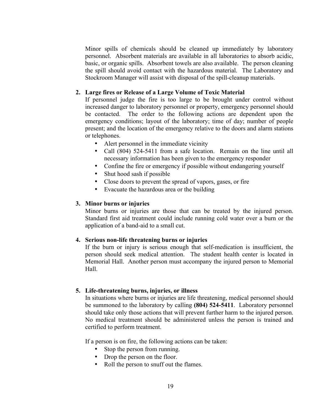Minor spills of chemicals should be cleaned up immediately by laboratory personnel. Absorbent materials are available in all laboratories to absorb acidic, basic, or organic spills. Absorbent towels are also available. The person cleaning the spill should avoid contact with the hazardous material. The Laboratory and Stockroom Manager will assist with disposal of the spill-cleanup materials.

#### **2. Large fires or Release of a Large Volume of Toxic Material**

If personnel judge the fire is too large to be brought under control without increased danger to laboratory personnel or property, emergency personnel should be contacted. The order to the following actions are dependent upon the emergency conditions; layout of the laboratory; time of day; number of people present; and the location of the emergency relative to the doors and alarm stations or telephones.

- Alert personnel in the immediate vicinity
- Call (804) 524-5411 from a safe location. Remain on the line until all necessary information has been given to the emergency responder
- Confine the fire or emergency if possible without endangering yourself
- Shut hood sash if possible
- Close doors to prevent the spread of vapors, gases, or fire
- Evacuate the hazardous area or the building

#### **3. Minor burns or injuries**

Minor burns or injuries are those that can be treated by the injured person. Standard first aid treatment could include running cold water over a burn or the application of a band-aid to a small cut.

#### **4. Serious non-life threatening burns or injuries**

If the burn or injury is serious enough that self-medication is insufficient, the person should seek medical attention. The student health center is located in Memorial Hall. Another person must accompany the injured person to Memorial Hall.

#### **5. Life-threatening burns, injuries, or illness**

In situations where burns or injuries are life threatening, medical personnel should be summoned to the laboratory by calling **(804) 524-5411**. Laboratory personnel should take only those actions that will prevent further harm to the injured person. No medical treatment should be administered unless the person is trained and certified to perform treatment.

If a person is on fire, the following actions can be taken:

- Stop the person from running.
- Drop the person on the floor.
- Roll the person to snuff out the flames.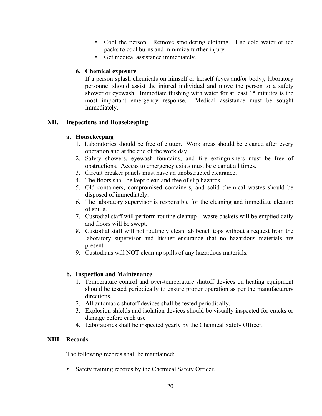- Cool the person. Remove smoldering clothing. Use cold water or ice packs to cool burns and minimize further injury.
- Get medical assistance immediately.

## **6. Chemical exposure**

If a person splash chemicals on himself or herself (eyes and/or body), laboratory personnel should assist the injured individual and move the person to a safety shower or eyewash. Immediate flushing with water for at least 15 minutes is the most important emergency response. Medical assistance must be sought immediately.

## **XII. Inspections and Housekeeping**

## **a. Housekeeping**

- 1. Laboratories should be free of clutter. Work areas should be cleaned after every operation and at the end of the work day.
- 2. Safety showers, eyewash fountains, and fire extinguishers must be free of obstructions. Access to emergency exists must be clear at all times.
- 3. Circuit breaker panels must have an unobstructed clearance.
- 4. The floors shall be kept clean and free of slip hazards.
- 5. Old containers, compromised containers, and solid chemical wastes should be disposed of immediately.
- 6. The laboratory supervisor is responsible for the cleaning and immediate cleanup of spills.
- 7. Custodial staff will perform routine cleanup waste baskets will be emptied daily and floors will be swept.
- 8. Custodial staff will not routinely clean lab bench tops without a request from the laboratory supervisor and his/her ensurance that no hazardous materials are present.
- 9. Custodians will NOT clean up spills of any hazardous materials.

## **b. Inspection and Maintenance**

- 1. Temperature control and over-temperature shutoff devices on heating equipment should be tested periodically to ensure proper operation as per the manufacturers directions.
- 2. All automatic shutoff devices shall be tested periodically.
- 3. Explosion shields and isolation devices should be visually inspected for cracks or damage before each use
- 4. Laboratories shall be inspected yearly by the Chemical Safety Officer.

## **XIII. Records**

The following records shall be maintained:

• Safety training records by the Chemical Safety Officer.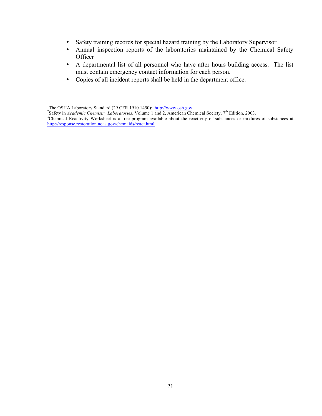- Safety training records for special hazard training by the Laboratory Supervisor
- Annual inspection reports of the laboratories maintained by the Chemical Safety **Officer**
- A departmental list of all personnel who have after hours building access. The list must contain emergency contact information for each person.
- Copies of all incident reports shall be held in the department office.

<sup>&</sup>lt;sup>1</sup>The OSHA Laboratory Standard (29 CFR 1910.1450): http://www.osh.gov <sup>1</sup>The OSHA Laboratory Standard (29 CFR 1910.1450): http://www.osh.gov<br><sup>2</sup>Safoty in *Agglania Chamistmy Laboratorias*, Volumo 1 and 2. American Ch

 $^{2}$ Safety in *Academic Chemistry Laboratories*, Volume 1 and 2, American Chemical Society, 7<sup>th</sup> Edition, 2003.

<sup>&</sup>lt;sup>3</sup>Chemical Reactivity Worksheet is a free program available about the reactivity of substances or mixtures of substances at http://response.restoration.noaa.gov/chemaids/react.html.